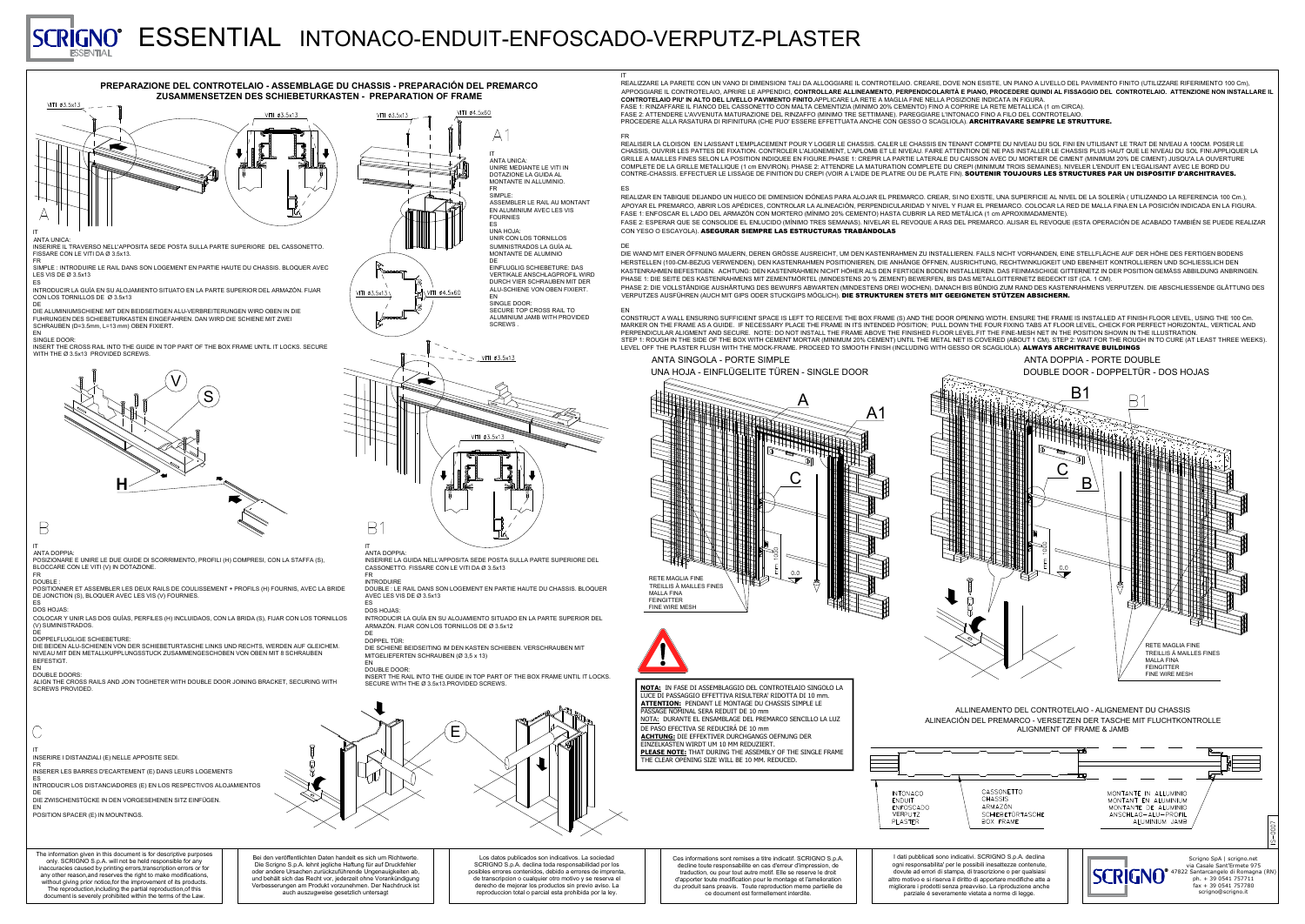### FR

REALIZAR EN TABIQUE DEJANDO UN HUECO DE DIMENSION IDÓNEAS PARA ALOJAR EL PREMARCO. CREAR, SI NO EXISTE, UNA SUPERFICIE AL NIVEL DE LA SOLERÍA ( UTILIZANDO LA REFERENCIA 100 Cm.), APOYAR EL PREMARCO, ABRIR LOS APÉDICES, CONTROLAR LA ALINEACIÓN, PERPENDICULARIDAD Y NIVEL Y FIJAR EL PREMARCO. COLOCAR LA RED DE MALLA FINA EN LA POSICIÓN INDICADA EN LA FIGURA. FASE 1: ENFOSCAR EL LADO DEL ARMAZÓN CON MORTERO (MÍNIMO 20% CEMENTO) HASTA CUBRIR LA RED METÁLICA (1 cm APROXIMADAMENTE). FASE 2: ESPERAR QUE SE CONSOLIDE EL ENLUCIDO (MÍNIMO TRES SEMANAS). NIVELAR EL REVOQUE A RAS DEL PREMARCO. ALISAR EL REVOQUE (ESTA OPERACIÓN DE ACABADO TAMBIÉN SE PUEDE REALIZAR CON YESO O ESCAYOLA). ASEGURAR SIEMPRE LAS ESTRUCTURAS TRABÁNDOLAS

DIE WAND MIT EINER ÖFFNUNG MAUERN, DEREN GRÖSSE AUSREICHT, UM DEN KASTENRAHMEN ZU INSTALLIEREN. FALLS NICHT VORHANDEN, EINE STELLFLÄCHE AUF DER HÖHE DES FERTIGEN BODENS HERSTELLEN (100-CM-BEZUG VERWENDEN), DEN KASTENRAHMEN POSITIONIEREN, DIE ANHÄNGE ÖFFNEN, AUSRICHTUNG, RECHTWINKLIGKEIT UND EBENHEIT KONTROLLIEREN UND SCHLIESSLICH DEN KASTENRAHMEN BEFESTIGEN. ACHTUNG: DEN KASTENRAHMEN NICHT HÖHER ALS DEN FERTIGEN BODEN INSTALLIEREN. DAS FEINMASCHIGE GITTERNETZ IN DER POSITION GEMÄSS ABBILDUNG ANBRINGEN. PHASE 1: DIE SEITE DES KASTENRAHMENS MIT ZEMENTMÖRTEL (MINDESTENS 20 % ZEMENT) BEWERFEN, BIS DAS METALLGITTERNETZ BEDECKT IST (CA. 1 CM). PHASE 2: DIE VOLLSTÄNDIGE AUSHÄRTUNG DES BEWURFS ABWARTEN (MINDESTENS DREI WOCHEN). DANACH BIS BÜNDIG ZUM RAND DES KASTENRAHMENS VERPUTZEN. DIE ABSCHLIESSENDE GLÄTTUNG DES VERPUTZES AUSFÜHREN (AUCH MIT GIPS ODER STUCKGIPS MÖGLICH). **DIE STRUKTUREN STETS MIT GEEIGNETEN STÜTZEN ABSICHERN.** 

REALISER LA CLOISON EN LAISSANT L'EMPLACEMENT POUR Y LOGER LE CHASSIS. CALER LE CHASSIS EN TENANT COMPTE DU NIVEAU DU SOL FINI EN UTILISANT LE TRAIT DE NIVEAU A 100CM. POSER LE CHASSIS, OUVRIR LES PATTES DE FIXATION. CONTROLER L'ALIGNEMENT, L'APLOMB ET LE NIVEAU. FAIRE ATTENTION DE NE PAS INSTALLER LE CHASSIS PLUS HAUT QUE LE NIVEAU DU SOL FINI.APPLIQUER LA GRILLE A MAILLES FINES SELON LA POSITION INDIQUEE EN FIGURE.PHASE 1: CREPIR LA PARTIE LATERALE DU CAISSON AVEC DU MORTIER DE CIMENT (MINIMUM 20% DE CIMENT) JUSQU'A LA OUVERTURE COMPLETE DE LA GRILLE METALLIQUE (1 cm ENVIRON). PHASE 2: ATTENDRE LA MATURATION COMPLETE DU CREPI (MINIMUM TROIS SEMAINES). NIVELER L'ENDUIT EN L'EGALISANT AVEC LE BORD DU CONTRE-CHASSIS. EFFECTUER LE LISSAGE DE FINITION DU CREPI (VOIR A L'AIDE DE PLATRE OU DE PLATE FIN). SOUTENIR TOUJOURS LES STRUCTURES PAR UN DISPOSITIF D'ARCHITRAVES.

EN CONSTRUCT A WALL ENSURING SUFFICIENT SPACE IS LEFT TO RECEIVE THE BOX FRAME (S) AND THE DOOR OPENING WIDTH. ENSURE THE FRAME IS INSTALLED AT FINISH FLOOR LEVEL, USING THE 100 Cm. MARKER ON THE FRAME AS A GUIDE. IF NECESSARY PLACE THE FRAME IN ITS INTENDED POSITION; PULL DOWN THE FOUR FIXING TABS AT FLOOR LEVEL, CHECK FOR PERFECT HORIZONTAL, VERTICAL AND PERPENDICULAR ALIGMENT AND SECURE. NOTE: DO NOT INSTALL THE FRAME ABOVE THE FINISHED FLOOR LEVEL.FIT THE FINE-MESH NET IN THE POSITION SHOWN IN THE ILLUSTRATION. STEP 1: ROUGH IN THE SIDE OF THE BOX WITH CEMENT MORTAR (MINIMUM 20% CEMENT) UNTIL THE METAL NET IS COVERED (ABOUT 1 CM). STEP 2: WAIT FOR THE ROUGH IN TO CURE (AT LEAST THREE WEEKS). LEVEL OFF THE PLASTER FLUSH WITH THE MOCK-FRAME. PROCEED TO SMOOTH FINISH (INCLUDING WITH GESSO OR SCAGLIOLA). ALWAYS ARCHITRAVE BUILDINGS



### ES

### DE

#### FR **INTRODUIRE**

DOUBLE DOOR: INSERT THE RAIL INTO THE GUIDE IN TOP PART OF THE BOX FRAME UNTIL IT LOCKS. SECURE WITH THE Ø 3.5x13.PROVIDED SCREWS

INSERT THE CROSS RAIL INTO THE GUIDE IN TOP PART OF THE BOX FRAME UNTIL IT LOCKS. SECURE WITH THE Ø 3.5x13 PROVIDED SCREWS.

## ANTA SINGOLA - PORTE SIMPLE UNA HOJA - EINFLÜGELITE TÜREN - SINGLE DOOR

IT INSERIRE I DISTANZIALI (E) NELLE APPOSITE SEDI.

FR INSERER LES BARRES D'ECARTEMENT (E) DANS LEURS LOGEMENTS

ES INTRODUCIR LOS DISTANCIADORES (E) EN LOS RESPECTIVOS ALOJAMIENTOS

DE DIE ZWISCHENSTÜCKE IN DEN VORGESEHENEN SITZ EINFÜGEN.

EN POSITION SPACER (E) IN MOUNTINGS.

#### IT ANTA DOPPIA:

POSIZIONARE E UNIRE LE DUE GUIDE DI SCORRIMENTO, PROFILI (H) COMPRESI, CON LA STAFFA (S), BLOCCARE CON LE VITI (V) IN DOTAZIONE. FR

### DOUBLE

# ESSENTIAL INTONACO-ENDUIT-ENFOSCADO-VERPUTZ-PLASTER **SCRIGNO**®

POSITIONNER ET ASSEMBLER LES DEUX RAILS DE COULISSEMENT + PROFILS (H) FOURNIS, AVEC LA BRIDE DE JONCTION (S), BLOQUER AVEC LES VIS (V) FOURNIES.

#### ES DOS HOJAS:

COLOCAR Y UNIR LAS DOS GUÍAS, PERFILES (H) INCLUIDAOS, CON LA BRIDA (S), FIJAR CON LOS TORNILLOS (V) SUMINISTRADOS.

#### DE DOPPELFLUGLIGE SCHIEBETURE:

DIE BEIDEN ALU-SCHIENEN VON DER SCHIEBETURTASCHE LINKS UND RECHTS, WERDEN AUF GLEICHEM. NIVEAU MIT DEN METALLKUPPLUNGSSTUCK ZUSAMMENGESCHOBEN VON OBEN MIT 8 SCHRAUBEN **BEFESTIGT** EN

### DOUBLE DOORS

ALIGN THE CROSS RAILS AND JOIN TOGHETER WITH DOUBLE DOOR JOINING BRACKET, SECURING WITH SCREWS PROVIDED.

#### IT ANTA DOPPIA:

INSERIRE LA GUIDA NELL'APPOSITA SEDE POSTA SULLA PARTE SUPERIORE DEL CASSONETTO. FISSARE CON LE VITI DA Ø 3.5x13

DOUBLE : LE RAIL DANS SON LOGEMENT EN PARTIE HAUTE DU CHASSIS. BLOQUER AVEC LES VIS DE Ø 3.5x13

#### ES DOS HOJAS:

INTRODUCIR LA GUÍA EN SU ALOJAMIENTO SITUADO EN LA PARTE SUPERIOR DEL ARMAZÓN. FIJAR CON LOS TORNILLOS DE Ø 3.5x12

## **DE**

DOPPEL TÜR: DIE SCHIENE BEIDSEITING IM DEN KASTEN SCHIEBEN. VERSCHRAUBEN MIT MITGELIEFERTEN SCHRAUBEN (Ø 3,5 x 13)

### EN





#### IT ANTA UNICA:

INSERIRE IL TRAVERSO NELL'APPOSITA SEDE POSTA SULLA PARTE SUPERIORE DEL CASSONETTO. FISSARE CON LE VITI DA Ø 3.5x13. FR



SIMPLE : INTRODUIRE LE RAIL DANS SON LOGEMENT EN PARTIE HAUTE DU CHASSIS. BLOQUER AVEC LES VIS DE Ø 3.5x13 ES

INTRODUCIR LA GUÍA EN SU ALOJAMIENTO SITUATO EN LA PARTE SUPERIOR DEL ARMAZÓN. FIJAR CON LOS TORNILLOS DE Ø 3.5x13

DE DIE ALUMINIUMSCHIENE MIT DEN BEIDSEITIGEN ALU-VERBREITERUNGEN WIRD OBEN IN DIE FUHRUNGEN DES SCHIEBETURKASTEN EINGEFAHREN. DAN WIRD DIE SCHIENE MIT ZWEI SCHRAUBEN (D=3.5mm, L=13 mm) OBEN FIXIERT.

### EN

### SINGLE DOOR:







B

# ANTA DOPPIA - PORTE DOUBLE DOUBLE DOOR - DOPPELTÜR - DOS HOJAS



B1



The information given in this document is for descriptive purposes only. SCRIGNO S.p.A. will not be held responsible for any inaccuracies caused by printing errors,transcription errors or for any other reason,and reserves the right to make modifications, without giving prior notice,for the improvement of its products. The reproduction,including the partial reproduction,of this document is severely prohibited within the terms of the Law.

Bei den veröffentlichten Daten handelt es sich um Richtwerte. Die Scrigno S.p.A. lehnt jegliche Haftung für auf Druckfehler oder andere Ursachen zurückzuführende Ungenauigkeiten ab, und behält sich das Recht vor, jederzeit ohne Vorankündigung Verbesserungen am Produkt vorzunehmen. Der Nachdruck ist auch auszugweise gesetzlich untersagt

Los datos publicados son indicativos. La sociedad SCRIGNO S.p.A. declina toda responsabilidad por los posibles errores contenidos, debido a errores de imprenta, de transcripcion o cualquier otro motivo y se reserva el derecho de mejorar los productos sin previo aviso. La reproduccion total o parcial esta prohibida por la ley.

IT REALIZZARE LA PARETE CON UN VANO DI DIMENSIONI TALI DA ALLOGGIARE IL CONTROTELAIO. CREARE, DOVE NON ESISTE, UN PIANO A LIVELLO DEL PAVIMENTO FINITO (UTILIZZARE RIFERIMENTO 100 Cm), APPOGGIARE IL CONTROTELAIO, APRIRE LE APPENDICI, **CONTROLLARE ALLINEAMENTO**, **PERPENDICOLARITÀ E PIANO, PROCEDERE QUINDI AL FISSAGGIO DEL CONTROTELAIO. ATTENZIONE NON INSTALLARE IL CONTROTELAIO PIU' IN ALTO DEL LIVELLO PAVIMENTO FINITO.**APPLICARE LA RETE A MAGLIA FINE NELLA POSIZIONE INDICATA IN FIGURA. FASE 1: RINZAFFARE IL FIANCO DEL CASSONETTO CON MALTA CEMENTIZIA (MINIMO 20% CEMENTO) FINO A COPRIRE LA RETE METALLICA (1 cm CIRCA). FASE 2: ATTENDERE L'AVVENUTA MATURAZIONE DEL RINZAFFO (MINIMO TRE SETTIMANE). PAREGGIARE L'INTONACO FINO A FILO DEL CONTROTELAIO. PROCEDERE ALLA RASATURA DI RIFINITURA (CHE PUO' ESSERE EFFETTUATA ANCHE CON GESSO O SCAGLIOLA). ARCHITRAVARE SEMPRE LE STRUTTURE.

Ces informations sont remises a titre indicatif. SCRIGNO S.p.A. decline toute responsabilite en cas d'erreur d'impression, de traduction, ou pour tout autre motif. Elle se reserve le droit d'apporter toute modification pour le montage et l'amelioration du produit sans preavis. Toute reproduction meme partielle de ce document est formellement interdite.

I dati pubblicati sono indicativi. SCRIGNO S.p.A. declina ogni responsabilita' per le possibili inesattezze contenute, dovute ad errori di stampa, di trascrizione o per qualsiasi altro motivo e si riserva il diritto di apportare modifiche atte a migliorare i prodotti senza preavviso. La riproduzione anche parziale é severamente vietata a norme di legge.

**NOTA:** IN FASE DI ASSEMBLAGGIO DEL CONTROTELAIO SINGOLO LA

**INTONACO** ENDUIT ENFOSCADO **VERPUTZ** PLASTER

CASSONETTO CHASSIS ARMAZÓN SCHIEBETÛRTASCHE BOX FRAME

LUCE DI PASSAGGIO EFFETTIVA RISULTERA' RIDOTTA DI 10 mm. **ATTENTION:** PENDANT LE MONTAGE DU CHASSIS SIMPLE LE PASSAGE NOMINAL SERA REDUIT DE 10 mm NOTA: DURANTE EL ENSAMBLAGE DEL PREMARCO SENCILLO LA LUZ DE PASO EFECTIVA SE REDUCIRÁ DE 10 mm **ACHTUNG:** DIE EFFEKTIVER DURCHGANGS OEFNUNG DER EINZELKASTEN WIRDT UM 10 MM REDUZIERT. **PLEASE NOTE:** THAT DURING THE ASSEMBLY OF THE SINGLE FRAME THE CLEAR OPENING SIZE WILL BE 10 MM. REDUCED.